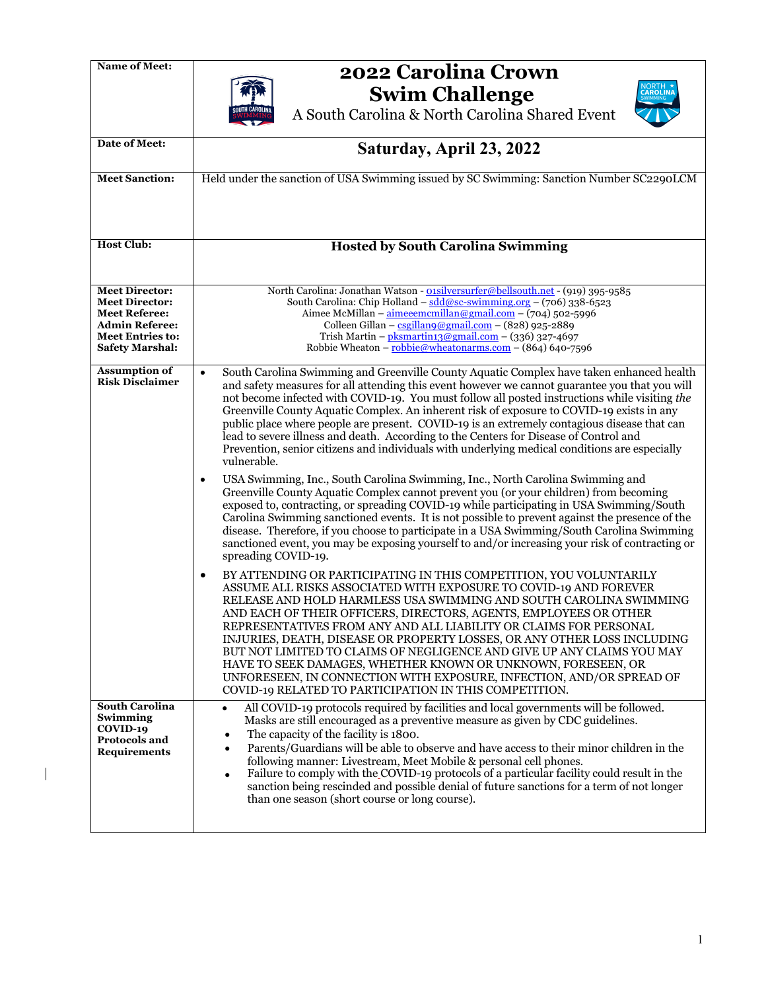$\mathsf{I}$ 



## Name of Meet:<br>**2022 Carolina Crown**

**Swim Challenge** A South Carolina & North Carolina Shared Event



| Date of Meet:                                                                                                                                        | Saturday, April 23, 2022                                                                                                                                                                                                                                                                                                                                                                                                                                                                                                                                                                                                                                                                                             |  |  |
|------------------------------------------------------------------------------------------------------------------------------------------------------|----------------------------------------------------------------------------------------------------------------------------------------------------------------------------------------------------------------------------------------------------------------------------------------------------------------------------------------------------------------------------------------------------------------------------------------------------------------------------------------------------------------------------------------------------------------------------------------------------------------------------------------------------------------------------------------------------------------------|--|--|
| <b>Meet Sanction:</b>                                                                                                                                | Held under the sanction of USA Swimming issued by SC Swimming: Sanction Number SC2290LCM                                                                                                                                                                                                                                                                                                                                                                                                                                                                                                                                                                                                                             |  |  |
| <b>Host Club:</b>                                                                                                                                    | <b>Hosted by South Carolina Swimming</b>                                                                                                                                                                                                                                                                                                                                                                                                                                                                                                                                                                                                                                                                             |  |  |
| <b>Meet Director:</b><br><b>Meet Director:</b><br><b>Meet Referee:</b><br><b>Admin Referee:</b><br><b>Meet Entries to:</b><br><b>Safety Marshal:</b> | North Carolina: Jonathan Watson - oisilversurfer@bellsouth.net - (919) 395-9585<br>South Carolina: Chip Holland - $\frac{\text{sdd}\omega\text{sc-swimming.org}}{}$ – (706) 338-6523<br>Aimee McMillan - aimeeemcmillan@gmail.com - (704) 502-5996<br>Colleen Gillan - $csgillanq@gmail.com$ - (828) 925-2889<br>Trish Martin - $pls$ martin13@gmail.com - (336) 327-4697<br>Robbie Wheaton - robbie@wheatonarms.com - (864) 640-7596                                                                                                                                                                                                                                                                                |  |  |
| <b>Assumption of</b><br><b>Risk Disclaimer</b>                                                                                                       | South Carolina Swimming and Greenville County Aquatic Complex have taken enhanced health<br>$\bullet$<br>and safety measures for all attending this event however we cannot guarantee you that you will<br>not become infected with COVID-19. You must follow all posted instructions while visiting the<br>Greenville County Aquatic Complex. An inherent risk of exposure to COVID-19 exists in any<br>public place where people are present. COVID-19 is an extremely contagious disease that can<br>lead to severe illness and death. According to the Centers for Disease of Control and<br>Prevention, senior citizens and individuals with underlying medical conditions are especially<br>vulnerable.        |  |  |
|                                                                                                                                                      | USA Swimming, Inc., South Carolina Swimming, Inc., North Carolina Swimming and<br>٠<br>Greenville County Aquatic Complex cannot prevent you (or your children) from becoming<br>exposed to, contracting, or spreading COVID-19 while participating in USA Swimming/South<br>Carolina Swimming sanctioned events. It is not possible to prevent against the presence of the<br>disease. Therefore, if you choose to participate in a USA Swimming/South Carolina Swimming<br>sanctioned event, you may be exposing yourself to and/or increasing your risk of contracting or<br>spreading COVID-19.                                                                                                                   |  |  |
|                                                                                                                                                      | BY ATTENDING OR PARTICIPATING IN THIS COMPETITION, YOU VOLUNTARILY<br>٠<br>ASSUME ALL RISKS ASSOCIATED WITH EXPOSURE TO COVID-19 AND FOREVER<br>RELEASE AND HOLD HARMLESS USA SWIMMING AND SOUTH CAROLINA SWIMMING<br>AND EACH OF THEIR OFFICERS, DIRECTORS, AGENTS, EMPLOYEES OR OTHER<br>REPRESENTATIVES FROM ANY AND ALL LIABILITY OR CLAIMS FOR PERSONAL<br>INJURIES, DEATH, DISEASE OR PROPERTY LOSSES, OR ANY OTHER LOSS INCLUDING<br>BUT NOT LIMITED TO CLAIMS OF NEGLIGENCE AND GIVE UP ANY CLAIMS YOU MAY<br>HAVE TO SEEK DAMAGES, WHETHER KNOWN OR UNKNOWN, FORESEEN, OR<br>UNFORESEEN, IN CONNECTION WITH EXPOSURE, INFECTION, AND/OR SPREAD OF<br>COVID-19 RELATED TO PARTICIPATION IN THIS COMPETITION. |  |  |
| South Carolina<br>Swimming<br>COVID-19<br>Protocols and<br><b>Requirements</b>                                                                       | All COVID-19 protocols required by facilities and local governments will be followed.<br>Masks are still encouraged as a preventive measure as given by CDC guidelines.<br>The capacity of the facility is 1800.<br>$\bullet$<br>Parents/Guardians will be able to observe and have access to their minor children in the<br>$\bullet$<br>following manner: Livestream, Meet Mobile & personal cell phones.<br>Failure to comply with the COVID-19 protocols of a particular facility could result in the<br>$\bullet$<br>sanction being rescinded and possible denial of future sanctions for a term of not longer<br>than one season (short course or long course).                                                |  |  |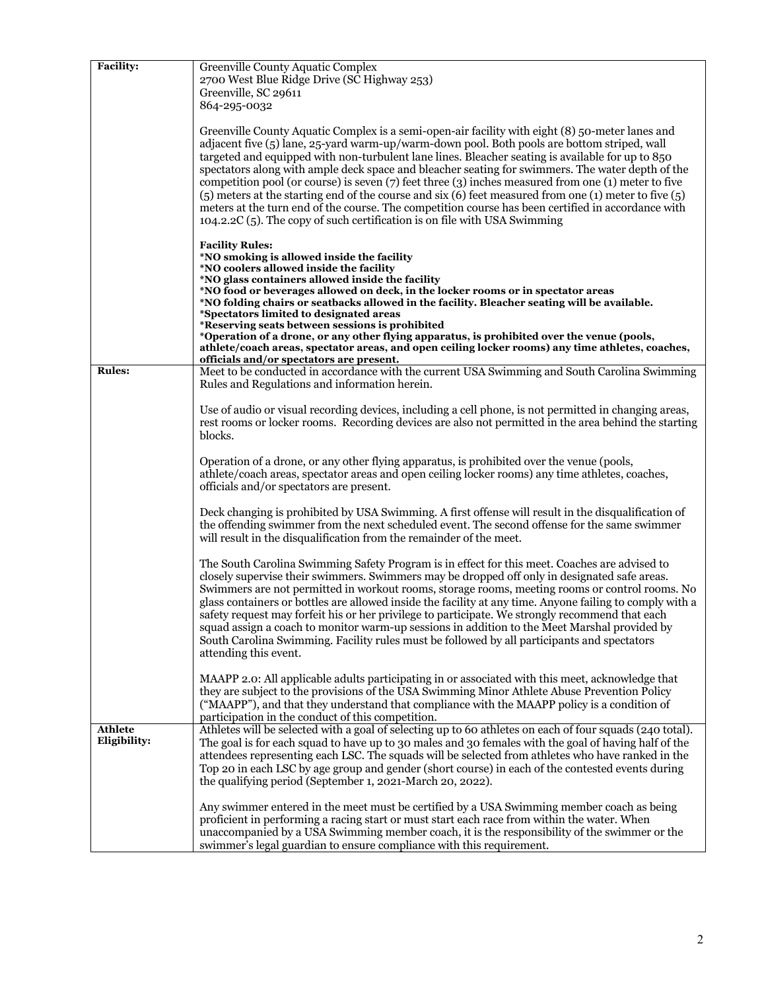| <b>Facility:</b> | Greenville County Aquatic Complex                                                                                                                                                                                                                                                                                                                                                                                                                                                                                                                                                                                                                                                                                                                                                                               |  |
|------------------|-----------------------------------------------------------------------------------------------------------------------------------------------------------------------------------------------------------------------------------------------------------------------------------------------------------------------------------------------------------------------------------------------------------------------------------------------------------------------------------------------------------------------------------------------------------------------------------------------------------------------------------------------------------------------------------------------------------------------------------------------------------------------------------------------------------------|--|
|                  | 2700 West Blue Ridge Drive (SC Highway 253)                                                                                                                                                                                                                                                                                                                                                                                                                                                                                                                                                                                                                                                                                                                                                                     |  |
|                  | Greenville, SC 29611                                                                                                                                                                                                                                                                                                                                                                                                                                                                                                                                                                                                                                                                                                                                                                                            |  |
|                  | 864-295-0032                                                                                                                                                                                                                                                                                                                                                                                                                                                                                                                                                                                                                                                                                                                                                                                                    |  |
|                  | Greenville County Aquatic Complex is a semi-open-air facility with eight (8) 50-meter lanes and<br>adjacent five (5) lane, 25-yard warm-up/warm-down pool. Both pools are bottom striped, wall<br>targeted and equipped with non-turbulent lane lines. Bleacher seating is available for up to 850<br>spectators along with ample deck space and bleacher seating for swimmers. The water depth of the<br>competition pool (or course) is seven $(7)$ feet three $(3)$ inches measured from one $(1)$ meter to five<br>(5) meters at the starting end of the course and six (6) feet measured from one (1) meter to five (5)<br>meters at the turn end of the course. The competition course has been certified in accordance with<br>104.2.2C (5). The copy of such certification is on file with USA Swimming |  |
|                  | <b>Facility Rules:</b>                                                                                                                                                                                                                                                                                                                                                                                                                                                                                                                                                                                                                                                                                                                                                                                          |  |
|                  | *NO smoking is allowed inside the facility                                                                                                                                                                                                                                                                                                                                                                                                                                                                                                                                                                                                                                                                                                                                                                      |  |
|                  | *NO coolers allowed inside the facility<br>*NO glass containers allowed inside the facility                                                                                                                                                                                                                                                                                                                                                                                                                                                                                                                                                                                                                                                                                                                     |  |
|                  | *NO food or beverages allowed on deck, in the locker rooms or in spectator areas                                                                                                                                                                                                                                                                                                                                                                                                                                                                                                                                                                                                                                                                                                                                |  |
|                  | *NO folding chairs or seatbacks allowed in the facility. Bleacher seating will be available.                                                                                                                                                                                                                                                                                                                                                                                                                                                                                                                                                                                                                                                                                                                    |  |
|                  | *Spectators limited to designated areas<br>*Reserving seats between sessions is prohibited                                                                                                                                                                                                                                                                                                                                                                                                                                                                                                                                                                                                                                                                                                                      |  |
|                  | *Operation of a drone, or any other flying apparatus, is prohibited over the venue (pools,                                                                                                                                                                                                                                                                                                                                                                                                                                                                                                                                                                                                                                                                                                                      |  |
|                  | athlete/coach areas, spectator areas, and open ceiling locker rooms) any time athletes, coaches,                                                                                                                                                                                                                                                                                                                                                                                                                                                                                                                                                                                                                                                                                                                |  |
| <b>Rules:</b>    | officials and/or spectators are present.<br>Meet to be conducted in accordance with the current USA Swimming and South Carolina Swimming                                                                                                                                                                                                                                                                                                                                                                                                                                                                                                                                                                                                                                                                        |  |
|                  | Rules and Regulations and information herein.                                                                                                                                                                                                                                                                                                                                                                                                                                                                                                                                                                                                                                                                                                                                                                   |  |
|                  |                                                                                                                                                                                                                                                                                                                                                                                                                                                                                                                                                                                                                                                                                                                                                                                                                 |  |
|                  | Use of audio or visual recording devices, including a cell phone, is not permitted in changing areas,                                                                                                                                                                                                                                                                                                                                                                                                                                                                                                                                                                                                                                                                                                           |  |
|                  | rest rooms or locker rooms. Recording devices are also not permitted in the area behind the starting<br>blocks.                                                                                                                                                                                                                                                                                                                                                                                                                                                                                                                                                                                                                                                                                                 |  |
|                  |                                                                                                                                                                                                                                                                                                                                                                                                                                                                                                                                                                                                                                                                                                                                                                                                                 |  |
|                  | Operation of a drone, or any other flying apparatus, is prohibited over the venue (pools,                                                                                                                                                                                                                                                                                                                                                                                                                                                                                                                                                                                                                                                                                                                       |  |
|                  | athlete/coach areas, spectator areas and open ceiling locker rooms) any time athletes, coaches,                                                                                                                                                                                                                                                                                                                                                                                                                                                                                                                                                                                                                                                                                                                 |  |
|                  | officials and/or spectators are present.                                                                                                                                                                                                                                                                                                                                                                                                                                                                                                                                                                                                                                                                                                                                                                        |  |
|                  | Deck changing is prohibited by USA Swimming. A first offense will result in the disqualification of                                                                                                                                                                                                                                                                                                                                                                                                                                                                                                                                                                                                                                                                                                             |  |
|                  | the offending swimmer from the next scheduled event. The second offense for the same swimmer                                                                                                                                                                                                                                                                                                                                                                                                                                                                                                                                                                                                                                                                                                                    |  |
|                  | will result in the disqualification from the remainder of the meet.                                                                                                                                                                                                                                                                                                                                                                                                                                                                                                                                                                                                                                                                                                                                             |  |
|                  |                                                                                                                                                                                                                                                                                                                                                                                                                                                                                                                                                                                                                                                                                                                                                                                                                 |  |
|                  | The South Carolina Swimming Safety Program is in effect for this meet. Coaches are advised to<br>closely supervise their swimmers. Swimmers may be dropped off only in designated safe areas.                                                                                                                                                                                                                                                                                                                                                                                                                                                                                                                                                                                                                   |  |
|                  | Swimmers are not permitted in workout rooms, storage rooms, meeting rooms or control rooms. No                                                                                                                                                                                                                                                                                                                                                                                                                                                                                                                                                                                                                                                                                                                  |  |
|                  | glass containers or bottles are allowed inside the facility at any time. Anyone failing to comply with a                                                                                                                                                                                                                                                                                                                                                                                                                                                                                                                                                                                                                                                                                                        |  |
|                  | safety request may forfeit his or her privilege to participate. We strongly recommend that each                                                                                                                                                                                                                                                                                                                                                                                                                                                                                                                                                                                                                                                                                                                 |  |
|                  | squad assign a coach to monitor warm-up sessions in addition to the Meet Marshal provided by                                                                                                                                                                                                                                                                                                                                                                                                                                                                                                                                                                                                                                                                                                                    |  |
|                  | South Carolina Swimming. Facility rules must be followed by all participants and spectators<br>attending this event.                                                                                                                                                                                                                                                                                                                                                                                                                                                                                                                                                                                                                                                                                            |  |
|                  |                                                                                                                                                                                                                                                                                                                                                                                                                                                                                                                                                                                                                                                                                                                                                                                                                 |  |
|                  | MAAPP 2.0: All applicable adults participating in or associated with this meet, acknowledge that                                                                                                                                                                                                                                                                                                                                                                                                                                                                                                                                                                                                                                                                                                                |  |
|                  | they are subject to the provisions of the USA Swimming Minor Athlete Abuse Prevention Policy                                                                                                                                                                                                                                                                                                                                                                                                                                                                                                                                                                                                                                                                                                                    |  |
|                  | ("MAAPP"), and that they understand that compliance with the MAAPP policy is a condition of                                                                                                                                                                                                                                                                                                                                                                                                                                                                                                                                                                                                                                                                                                                     |  |
| <b>Athlete</b>   | participation in the conduct of this competition.<br>Athletes will be selected with a goal of selecting up to 60 athletes on each of four squads (240 total).                                                                                                                                                                                                                                                                                                                                                                                                                                                                                                                                                                                                                                                   |  |
| Eligibility:     | The goal is for each squad to have up to 30 males and 30 females with the goal of having half of the                                                                                                                                                                                                                                                                                                                                                                                                                                                                                                                                                                                                                                                                                                            |  |
|                  | attendees representing each LSC. The squads will be selected from athletes who have ranked in the                                                                                                                                                                                                                                                                                                                                                                                                                                                                                                                                                                                                                                                                                                               |  |
|                  | Top 20 in each LSC by age group and gender (short course) in each of the contested events during                                                                                                                                                                                                                                                                                                                                                                                                                                                                                                                                                                                                                                                                                                                |  |
|                  | the qualifying period (September 1, 2021-March 20, 2022).                                                                                                                                                                                                                                                                                                                                                                                                                                                                                                                                                                                                                                                                                                                                                       |  |
|                  | Any swimmer entered in the meet must be certified by a USA Swimming member coach as being                                                                                                                                                                                                                                                                                                                                                                                                                                                                                                                                                                                                                                                                                                                       |  |
|                  | proficient in performing a racing start or must start each race from within the water. When                                                                                                                                                                                                                                                                                                                                                                                                                                                                                                                                                                                                                                                                                                                     |  |
|                  | unaccompanied by a USA Swimming member coach, it is the responsibility of the swimmer or the                                                                                                                                                                                                                                                                                                                                                                                                                                                                                                                                                                                                                                                                                                                    |  |
|                  | swimmer's legal guardian to ensure compliance with this requirement.                                                                                                                                                                                                                                                                                                                                                                                                                                                                                                                                                                                                                                                                                                                                            |  |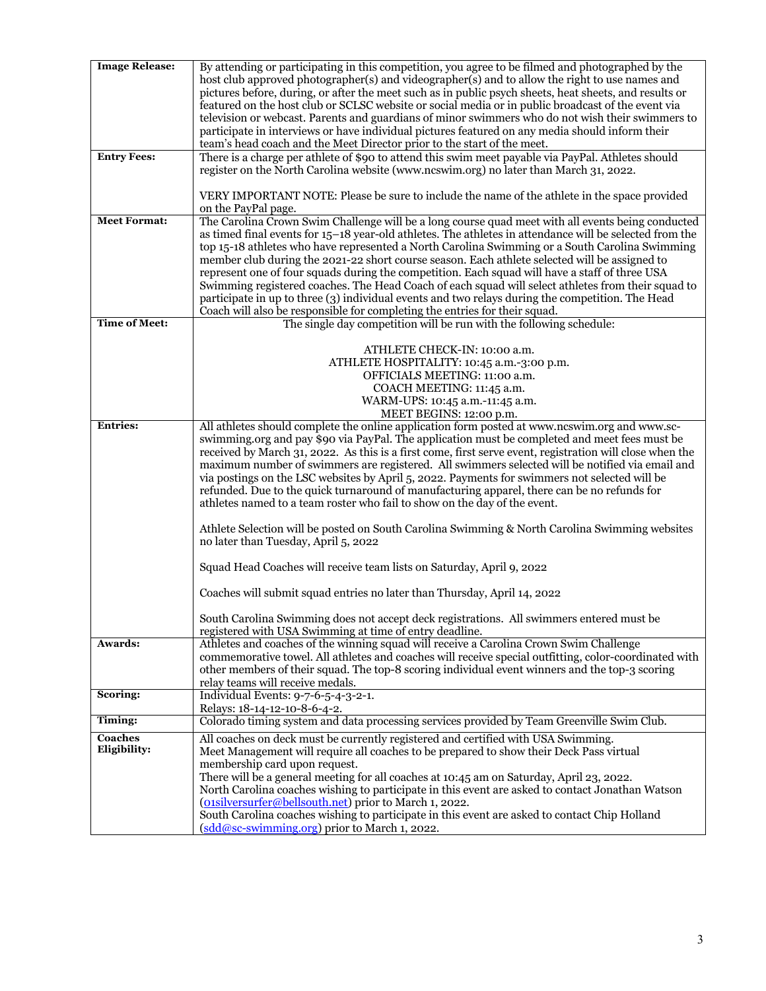| <b>Image Release:</b>   | By attending or participating in this competition, you agree to be filmed and photographed by the<br>host club approved photographer(s) and videographer(s) and to allow the right to use names and<br>pictures before, during, or after the meet such as in public psych sheets, heat sheets, and results or<br>featured on the host club or SCLSC website or social media or in public broadcast of the event via<br>television or webcast. Parents and guardians of minor swimmers who do not wish their swimmers to<br>participate in interviews or have individual pictures featured on any media should inform their<br>team's head coach and the Meet Director prior to the start of the meet.                                                                                                                                                                                                         |  |
|-------------------------|---------------------------------------------------------------------------------------------------------------------------------------------------------------------------------------------------------------------------------------------------------------------------------------------------------------------------------------------------------------------------------------------------------------------------------------------------------------------------------------------------------------------------------------------------------------------------------------------------------------------------------------------------------------------------------------------------------------------------------------------------------------------------------------------------------------------------------------------------------------------------------------------------------------|--|
| <b>Entry Fees:</b>      | There is a charge per athlete of \$90 to attend this swim meet payable via PayPal. Athletes should<br>register on the North Carolina website (www.ncswim.org) no later than March 31, 2022.                                                                                                                                                                                                                                                                                                                                                                                                                                                                                                                                                                                                                                                                                                                   |  |
|                         | VERY IMPORTANT NOTE: Please be sure to include the name of the athlete in the space provided<br>on the PayPal page.                                                                                                                                                                                                                                                                                                                                                                                                                                                                                                                                                                                                                                                                                                                                                                                           |  |
| <b>Meet Format:</b>     | The Carolina Crown Swim Challenge will be a long course quad meet with all events being conducted<br>as timed final events for 15-18 year-old athletes. The athletes in attendance will be selected from the<br>top 15-18 athletes who have represented a North Carolina Swimming or a South Carolina Swimming<br>member club during the 2021-22 short course season. Each athlete selected will be assigned to<br>represent one of four squads during the competition. Each squad will have a staff of three USA<br>Swimming registered coaches. The Head Coach of each squad will select athletes from their squad to<br>participate in up to three (3) individual events and two relays during the competition. The Head<br>Coach will also be responsible for completing the entries for their squad.                                                                                                     |  |
| <b>Time of Meet:</b>    | The single day competition will be run with the following schedule:                                                                                                                                                                                                                                                                                                                                                                                                                                                                                                                                                                                                                                                                                                                                                                                                                                           |  |
|                         | ATHLETE CHECK-IN: 10:00 a.m.<br>ATHLETE HOSPITALITY: 10:45 a.m.-3:00 p.m.<br>OFFICIALS MEETING: 11:00 a.m.<br>COACH MEETING: 11:45 a.m.<br>WARM-UPS: 10:45 a.m.-11:45 a.m.<br>MEET BEGINS: 12:00 p.m.                                                                                                                                                                                                                                                                                                                                                                                                                                                                                                                                                                                                                                                                                                         |  |
| <b>Entries:</b>         | All athletes should complete the online application form posted at www.ncswim.org and www.sc-<br>swimming.org and pay \$90 via PayPal. The application must be completed and meet fees must be<br>received by March 31, 2022. As this is a first come, first serve event, registration will close when the<br>maximum number of swimmers are registered. All swimmers selected will be notified via email and<br>via postings on the LSC websites by April 5, 2022. Payments for swimmers not selected will be<br>refunded. Due to the quick turnaround of manufacturing apparel, there can be no refunds for<br>athletes named to a team roster who fail to show on the day of the event.<br>Athlete Selection will be posted on South Carolina Swimming & North Carolina Swimming websites<br>no later than Tuesday, April 5, 2022<br>Squad Head Coaches will receive team lists on Saturday, April 9, 2022 |  |
|                         | Coaches will submit squad entries no later than Thursday, April 14, 2022                                                                                                                                                                                                                                                                                                                                                                                                                                                                                                                                                                                                                                                                                                                                                                                                                                      |  |
|                         | South Carolina Swimming does not accept deck registrations. All swimmers entered must be<br>registered with USA Swimming at time of entry deadline.                                                                                                                                                                                                                                                                                                                                                                                                                                                                                                                                                                                                                                                                                                                                                           |  |
| Awards:                 | Athletes and coaches of the winning squad will receive a Carolina Crown Swim Challenge<br>commemorative towel. All athletes and coaches will receive special outfitting, color-coordinated with<br>other members of their squad. The top-8 scoring individual event winners and the top-3 scoring<br>relay teams will receive medals.                                                                                                                                                                                                                                                                                                                                                                                                                                                                                                                                                                         |  |
| Scoring:                | Individual Events: 9-7-6-5-4-3-2-1.<br>Relays: 18-14-12-10-8-6-4-2.                                                                                                                                                                                                                                                                                                                                                                                                                                                                                                                                                                                                                                                                                                                                                                                                                                           |  |
| Timing:                 | Colorado timing system and data processing services provided by Team Greenville Swim Club.                                                                                                                                                                                                                                                                                                                                                                                                                                                                                                                                                                                                                                                                                                                                                                                                                    |  |
|                         |                                                                                                                                                                                                                                                                                                                                                                                                                                                                                                                                                                                                                                                                                                                                                                                                                                                                                                               |  |
| Coaches<br>Eligibility: | All coaches on deck must be currently registered and certified with USA Swimming.<br>Meet Management will require all coaches to be prepared to show their Deck Pass virtual<br>membership card upon request.<br>There will be a general meeting for all coaches at 10:45 am on Saturday, April 23, 2022.<br>North Carolina coaches wishing to participate in this event are asked to contact Jonathan Watson<br>(onsilversurfer@bellsouth.net) prior to March 1, 2022.<br>South Carolina coaches wishing to participate in this event are asked to contact Chip Holland<br>(sdd@sc-swimming.org) prior to March 1, 2022.                                                                                                                                                                                                                                                                                     |  |
|                         |                                                                                                                                                                                                                                                                                                                                                                                                                                                                                                                                                                                                                                                                                                                                                                                                                                                                                                               |  |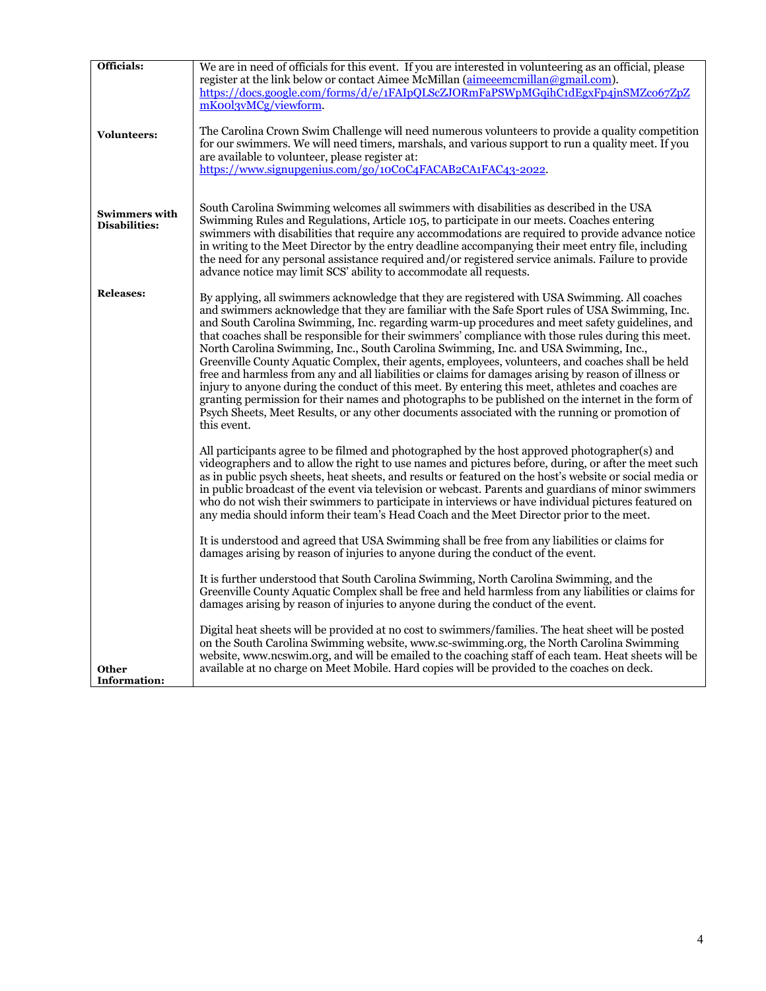| Officials:                            | We are in need of officials for this event. If you are interested in volunteering as an official, please<br>register at the link below or contact Aimee McMillan (aimeeemcmillan@gmail.com).<br>https://docs.google.com/forms/d/e/1FAIpQLScZJORmFaPSWpMGqihC1dEgxFp4jnSMZco67ZpZ<br>mKool3vMCg/viewform.                                                                                                                                                                                                                                                                                                                                                                                                                                                                                                                                                                                                                                                                                                                                    |  |
|---------------------------------------|---------------------------------------------------------------------------------------------------------------------------------------------------------------------------------------------------------------------------------------------------------------------------------------------------------------------------------------------------------------------------------------------------------------------------------------------------------------------------------------------------------------------------------------------------------------------------------------------------------------------------------------------------------------------------------------------------------------------------------------------------------------------------------------------------------------------------------------------------------------------------------------------------------------------------------------------------------------------------------------------------------------------------------------------|--|
| <b>Volunteers:</b>                    | The Carolina Crown Swim Challenge will need numerous volunteers to provide a quality competition<br>for our swimmers. We will need timers, marshals, and various support to run a quality meet. If you<br>are available to volunteer, please register at:<br>https://www.signupgenius.com/go/10CoC4FACAB2CA1FAC43-2022.                                                                                                                                                                                                                                                                                                                                                                                                                                                                                                                                                                                                                                                                                                                     |  |
| <b>Swimmers with</b><br>Disabilities: | South Carolina Swimming welcomes all swimmers with disabilities as described in the USA<br>Swimming Rules and Regulations, Article 105, to participate in our meets. Coaches entering<br>swimmers with disabilities that require any accommodations are required to provide advance notice<br>in writing to the Meet Director by the entry deadline accompanying their meet entry file, including<br>the need for any personal assistance required and/or registered service animals. Failure to provide<br>advance notice may limit SCS' ability to accommodate all requests.                                                                                                                                                                                                                                                                                                                                                                                                                                                              |  |
| <b>Releases:</b>                      | By applying, all swimmers acknowledge that they are registered with USA Swimming. All coaches<br>and swimmers acknowledge that they are familiar with the Safe Sport rules of USA Swimming, Inc.<br>and South Carolina Swimming, Inc. regarding warm-up procedures and meet safety guidelines, and<br>that coaches shall be responsible for their swimmers' compliance with those rules during this meet.<br>North Carolina Swimming, Inc., South Carolina Swimming, Inc. and USA Swimming, Inc.,<br>Greenville County Aquatic Complex, their agents, employees, volunteers, and coaches shall be held<br>free and harmless from any and all liabilities or claims for damages arising by reason of illness or<br>injury to anyone during the conduct of this meet. By entering this meet, at heltes and coaches are<br>granting permission for their names and photographs to be published on the internet in the form of<br>Psych Sheets, Meet Results, or any other documents associated with the running or promotion of<br>this event. |  |
|                                       | All participants agree to be filmed and photographed by the host approved photographer(s) and<br>videographers and to allow the right to use names and pictures before, during, or after the meet such<br>as in public psych sheets, heat sheets, and results or featured on the host's website or social media or<br>in public broadcast of the event via television or webcast. Parents and guardians of minor swimmers<br>who do not wish their swimmers to participate in interviews or have individual pictures featured on<br>any media should inform their team's Head Coach and the Meet Director prior to the meet.                                                                                                                                                                                                                                                                                                                                                                                                                |  |
|                                       | It is understood and agreed that USA Swimming shall be free from any liabilities or claims for<br>damages arising by reason of injuries to anyone during the conduct of the event.                                                                                                                                                                                                                                                                                                                                                                                                                                                                                                                                                                                                                                                                                                                                                                                                                                                          |  |
|                                       | It is further understood that South Carolina Swimming, North Carolina Swimming, and the<br>Greenville County Aquatic Complex shall be free and held harmless from any liabilities or claims for<br>damages arising by reason of injuries to anyone during the conduct of the event.                                                                                                                                                                                                                                                                                                                                                                                                                                                                                                                                                                                                                                                                                                                                                         |  |
| <b>Other</b><br><b>Information:</b>   | Digital heat sheets will be provided at no cost to swimmers/families. The heat sheet will be posted<br>on the South Carolina Swimming website, www.sc-swimming.org, the North Carolina Swimming<br>website, www.ncswim.org, and will be emailed to the coaching staff of each team. Heat sheets will be<br>available at no charge on Meet Mobile. Hard copies will be provided to the coaches on deck.                                                                                                                                                                                                                                                                                                                                                                                                                                                                                                                                                                                                                                      |  |